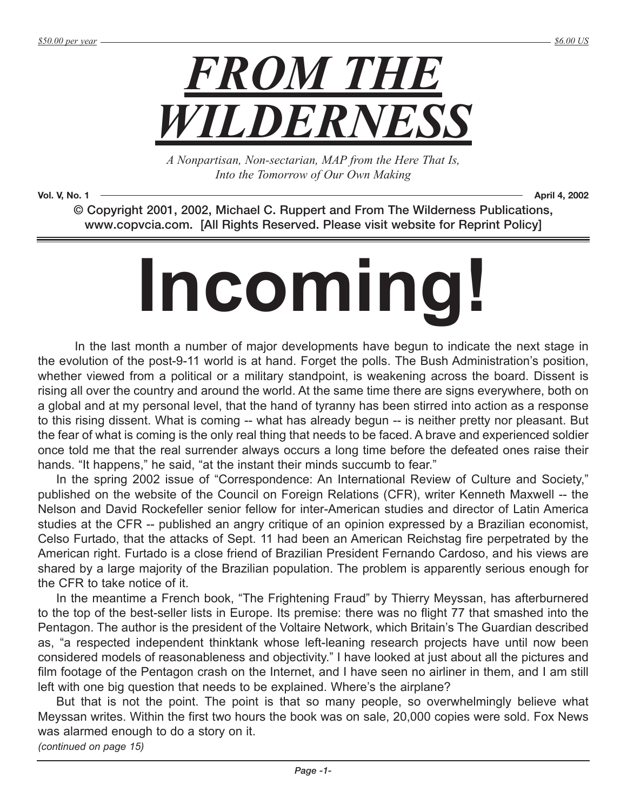

*A Nonpartisan, Non-sectarian, MAP from the Here That Is, Into the Tomorrow of Our Own Making*

**Vol. V, No. 1 April 4, 2002**

© Copyright 2001, 2002, Michael C. Ruppert and From The Wilderness Publications, [www.copvcia.com.](http://www.copvcia.com) [All Rights Reserved. Please visit website for Reprint Policy]



In the last month a number of major developments have begun to indicate the next stage in the evolution of the post-9-11 world is at hand. Forget the polls. The Bush Administration's position, whether viewed from a political or a military standpoint, is weakening across the board. Dissent is rising all over the country and around the world. At the same time there are signs everywhere, both on a global and at my personal level, that the hand of tyranny has been stirred into action as a response to this rising dissent. What is coming -- what has already begun -- is neither pretty nor pleasant. But the fear of what is coming is the only real thing that needs to be faced. A brave and experienced soldier once told me that the real surrender always occurs a long time before the defeated ones raise their hands. "It happens," he said, "at the instant their minds succumb to fear."

In the spring 2002 issue of "Correspondence: An International Review of Culture and Society," published on the website of the Council on Foreign Relations (CFR), writer Kenneth Maxwell -- the Nelson and David Rockefeller senior fellow for inter-American studies and director of Latin America studies at the CFR -- published an angry critique of an opinion expressed by a Brazilian economist, Celso Furtado, that the attacks of Sept. 11 had been an American Reichstag fire perpetrated by the American right. Furtado is a close friend of Brazilian President Fernando Cardoso, and his views are shared by a large majority of the Brazilian population. The problem is apparently serious enough for the CFR to take notice of it.

In the meantime a French book, "The Frightening Fraud" by Thierry Meyssan, has afterburnered to the top of the best-seller lists in Europe. Its premise: there was no flight 77 that smashed into the Pentagon. The author is the president of the Voltaire Network, which Britain's The Guardian described as, "a respected independent thinktank whose left-leaning research projects have until now been considered models of reasonableness and objectivity." I have looked at just about all the pictures and film footage of the Pentagon crash on the Internet, and I have seen no airliner in them, and I am still left with one big question that needs to be explained. Where's the airplane?

But that is not the point. The point is that so many people, so overwhelmingly believe what Meyssan writes. Within the first two hours the book was on sale, 20,000 copies were sold. Fox News was alarmed enough to do a story on it. *(continued on page 15)*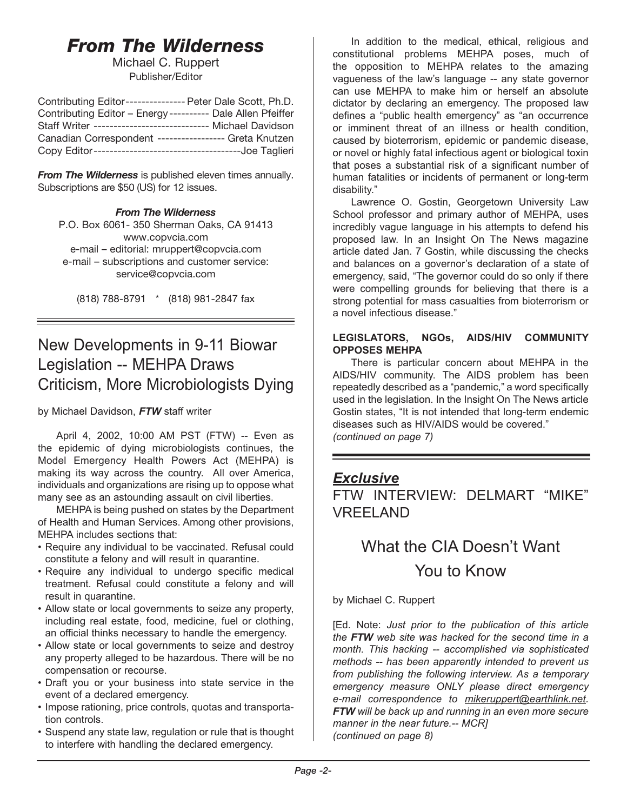# *From The Wilderness*

Michael C. Ruppert Publisher/Editor

| Contributing Editor---------------- Peter Dale Scott, Ph.D. |  |
|-------------------------------------------------------------|--|
| Contributing Editor - Energy---------- Dale Allen Pfeiffer  |  |
| Staff Writer ----------------------------- Michael Davidson |  |
| Canadian Correspondent ----------------- Greta Knutzen      |  |
|                                                             |  |

*From The Wilderness* is published eleven times annually. Subscriptions are \$50 (US) for 12 issues.

# *From The Wilderness*

P.O. Box 6061- 350 Sherman Oaks, CA 91413 [www.copvcia.com](http://www.copvcia.com) e-mail – editorial: [mruppert@copvcia.com](mailto:mruppert@copvcia.com) e-mail – subscriptions and customer service: [service@copvcia.com](mailto:service@copvcia.com) 

(818) 788-8791 \* (818) 981-2847 fax

# New Developments in 9-11 Biowar Legislation -- MEHPA Draws Criticism, More Microbiologists Dying

by Michael Davidson, *FTW* staff writer

April 4, 2002, 10:00 AM PST (FTW) -- Even as the epidemic of dying microbiologists continues, the Model Emergency Health Powers Act (MEHPA) is making its way across the country. All over America, individuals and organizations are rising up to oppose what many see as an astounding assault on civil liberties.

MEHPA is being pushed on states by the Department of Health and Human Services. Among other provisions, MEHPA includes sections that:

- Require any individual to be vaccinated. Refusal could constitute a felony and will result in quarantine.
- Require any individual to undergo specific medical treatment. Refusal could constitute a felony and will result in quarantine.
- Allow state or local governments to seize any property, including real estate, food, medicine, fuel or clothing, an official thinks necessary to handle the emergency.
- Allow state or local governments to seize and destroy any property alleged to be hazardous. There will be no compensation or recourse.
- Draft you or your business into state service in the event of a declared emergency.
- Impose rationing, price controls, quotas and transportation controls.
- Suspend any state law, regulation or rule that is thought to interfere with handling the declared emergency.

In addition to the medical, ethical, religious and constitutional problems MEHPA poses, much of the opposition to MEHPA relates to the amazing vagueness of the law's language -- any state governor can use MEHPA to make him or herself an absolute dictator by declaring an emergency. The proposed law defines a "public health emergency" as "an occurrence or imminent threat of an illness or health condition, caused by bioterrorism, epidemic or pandemic disease, or novel or highly fatal infectious agent or biological toxin that poses a substantial risk of a significant number of human fatalities or incidents of permanent or long-term disability."

Lawrence O. Gostin, Georgetown University Law School professor and primary author of MEHPA, uses incredibly vague language in his attempts to defend his proposed law. In an Insight On The News magazine article dated Jan. 7 Gostin, while discussing the checks and balances on a governor's declaration of a state of emergency, said, "The governor could do so only if there were compelling grounds for believing that there is a strong potential for mass casualties from bioterrorism or a novel infectious disease."

# **LEGISLATORS, NGOs, AIDS/HIV COMMUNITY OPPOSES MEHPA**

There is particular concern about MEHPA in the AIDS/HIV community. The AIDS problem has been repeatedly described as a "pandemic," a word specifically used in the legislation. In the Insight On The News article Gostin states, "It is not intended that long-term endemic diseases such as HIV/AIDS would be covered." *(continued on page 7)*

# *Exclusive*

FTW INTERVIEW: DELMART "MIKE" VREELAND

# What the CIA Doesn't Want You to Know

by Michael C. Ruppert

[Ed. Note: *Just prior to the publication of this article the FTW web site was hacked for the second time in a month. This hacking -- accomplished via sophisticated methods -- has been apparently intended to prevent us from publishing the following interview. As a temporary emergency measure ONLY please direct emergency e-mail correspondence to [mikeruppert@earthlink.net](mailto:mikeruppert@earthlink.net). FTW will be back up and running in an even more secure manner in the near future.-- MCR] (continued on page 8)*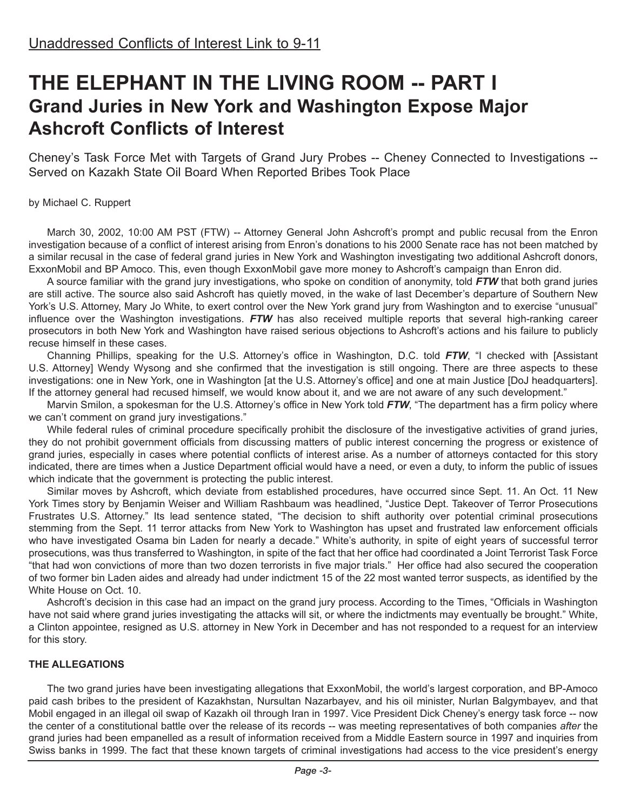# **THE ELEPHANT IN THE LIVING ROOM -- PART I Grand Juries in New York and Washington Expose Major Ashcroft Conflicts of Interest**

Cheney's Task Force Met with Targets of Grand Jury Probes -- Cheney Connected to Investigations -- Served on Kazakh State Oil Board When Reported Bribes Took Place

# by Michael C. Ruppert

March 30, 2002, 10:00 AM PST (FTW) -- Attorney General John Ashcroft's prompt and public recusal from the Enron investigation because of a conflict of interest arising from Enron's donations to his 2000 Senate race has not been matched by a similar recusal in the case of federal grand juries in New York and Washington investigating two additional Ashcroft donors, ExxonMobil and BP Amoco. This, even though ExxonMobil gave more money to Ashcroft's campaign than Enron did.

A source familiar with the grand jury investigations, who spoke on condition of anonymity, told *FTW* that both grand juries are still active. The source also said Ashcroft has quietly moved, in the wake of last December's departure of Southern New York's U.S. Attorney, Mary Jo White, to exert control over the New York grand jury from Washington and to exercise "unusual" influence over the Washington investigations. *FTW* has also received multiple reports that several high-ranking career prosecutors in both New York and Washington have raised serious objections to Ashcroft's actions and his failure to publicly recuse himself in these cases.

Channing Phillips, speaking for the U.S. Attorney's office in Washington, D.C. told *FTW*, "I checked with [Assistant U.S. Attorney] Wendy Wysong and she confirmed that the investigation is still ongoing. There are three aspects to these investigations: one in New York, one in Washington [at the U.S. Attorney's office] and one at main Justice [DoJ headquarters]. If the attorney general had recused himself, we would know about it, and we are not aware of any such development."

Marvin Smilon, a spokesman for the U.S. Attorney's office in New York told *FTW*, "The department has a firm policy where we can't comment on grand jury investigations."

While federal rules of criminal procedure specifically prohibit the disclosure of the investigative activities of grand juries, they do not prohibit government officials from discussing matters of public interest concerning the progress or existence of grand juries, especially in cases where potential conflicts of interest arise. As a number of attorneys contacted for this story indicated, there are times when a Justice Department official would have a need, or even a duty, to inform the public of issues which indicate that the government is protecting the public interest.

Similar moves by Ashcroft, which deviate from established procedures, have occurred since Sept. 11. An Oct. 11 New York Times story by Benjamin Weiser and William Rashbaum was headlined, "Justice Dept. Takeover of Terror Prosecutions Frustrates U.S. Attorney." Its lead sentence stated, "The decision to shift authority over potential criminal prosecutions stemming from the Sept. 11 terror attacks from New York to Washington has upset and frustrated law enforcement officials who have investigated Osama bin Laden for nearly a decade." White's authority, in spite of eight years of successful terror prosecutions, was thus transferred to Washington, in spite of the fact that her office had coordinated a Joint Terrorist Task Force "that had won convictions of more than two dozen terrorists in five major trials." Her office had also secured the cooperation of two former bin Laden aides and already had under indictment 15 of the 22 most wanted terror suspects, as identified by the White House on Oct. 10.

Ashcroft's decision in this case had an impact on the grand jury process. According to the Times, "Officials in Washington have not said where grand juries investigating the attacks will sit, or where the indictments may eventually be brought." White, a Clinton appointee, resigned as U.S. attorney in New York in December and has not responded to a request for an interview for this story.

# **THE ALLEGATIONS**

The two grand juries have been investigating allegations that ExxonMobil, the world's largest corporation, and BP-Amoco paid cash bribes to the president of Kazakhstan, Nursultan Nazarbayev, and his oil minister, Nurlan Balgymbayev, and that Mobil engaged in an illegal oil swap of Kazakh oil through Iran in 1997. Vice President Dick Cheney's energy task force -- now the center of a constitutional battle over the release of its records -- was meeting representatives of both companies *after* the grand juries had been empanelled as a result of information received from a Middle Eastern source in 1997 and inquiries from Swiss banks in 1999. The fact that these known targets of criminal investigations had access to the vice president's energy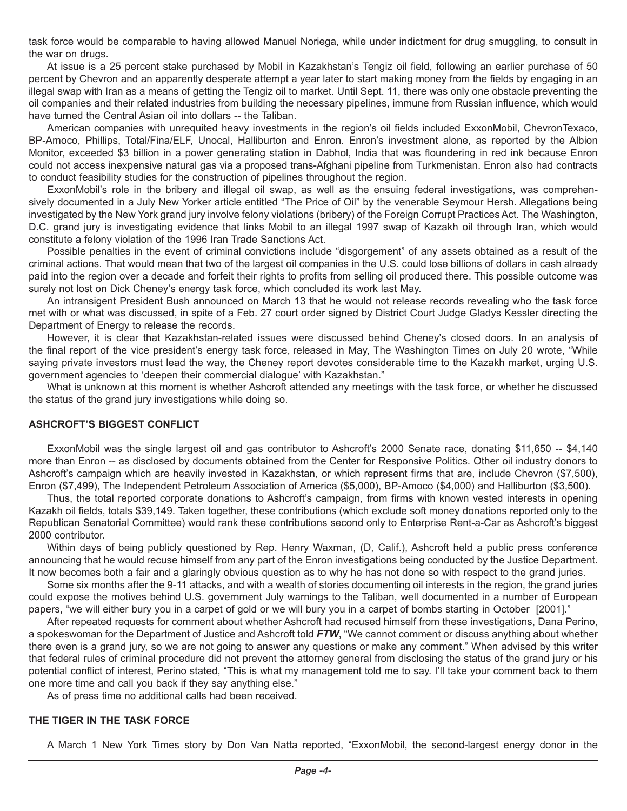task force would be comparable to having allowed Manuel Noriega, while under indictment for drug smuggling, to consult in the war on drugs.

At issue is a 25 percent stake purchased by Mobil in Kazakhstan's Tengiz oil field, following an earlier purchase of 50 percent by Chevron and an apparently desperate attempt a year later to start making money from the fields by engaging in an illegal swap with Iran as a means of getting the Tengiz oil to market. Until Sept. 11, there was only one obstacle preventing the oil companies and their related industries from building the necessary pipelines, immune from Russian influence, which would have turned the Central Asian oil into dollars -- the Taliban.

American companies with unrequited heavy investments in the region's oil fields included ExxonMobil, ChevronTexaco, BP-Amoco, Phillips, Total/Fina/ELF, Unocal, Halliburton and Enron. Enron's investment alone, as reported by the Albion Monitor, exceeded \$3 billion in a power generating station in Dabhol, India that was floundering in red ink because Enron could not access inexpensive natural gas via a proposed trans-Afghani pipeline from Turkmenistan. Enron also had contracts to conduct feasibility studies for the construction of pipelines throughout the region.

ExxonMobil's role in the bribery and illegal oil swap, as well as the ensuing federal investigations, was comprehensively documented in a July New Yorker article entitled "The Price of Oil" by the venerable Seymour Hersh. Allegations being investigated by the New York grand jury involve felony violations (bribery) of the Foreign Corrupt Practices Act. The Washington, D.C. grand jury is investigating evidence that links Mobil to an illegal 1997 swap of Kazakh oil through Iran, which would constitute a felony violation of the 1996 Iran Trade Sanctions Act.

Possible penalties in the event of criminal convictions include "disgorgement" of any assets obtained as a result of the criminal actions. That would mean that two of the largest oil companies in the U.S. could lose billions of dollars in cash already paid into the region over a decade and forfeit their rights to profits from selling oil produced there. This possible outcome was surely not lost on Dick Cheney's energy task force, which concluded its work last May.

An intransigent President Bush announced on March 13 that he would not release records revealing who the task force met with or what was discussed, in spite of a Feb. 27 court order signed by District Court Judge Gladys Kessler directing the Department of Energy to release the records.

However, it is clear that Kazakhstan-related issues were discussed behind Cheney's closed doors. In an analysis of the final report of the vice president's energy task force, released in May, The Washington Times on July 20 wrote, "While saying private investors must lead the way, the Cheney report devotes considerable time to the Kazakh market, urging U.S. government agencies to 'deepen their commercial dialogue' with Kazakhstan."

What is unknown at this moment is whether Ashcroft attended any meetings with the task force, or whether he discussed the status of the grand jury investigations while doing so.

#### **ASHCROFT'S BIGGEST CONFLICT**

ExxonMobil was the single largest oil and gas contributor to Ashcroft's 2000 Senate race, donating \$11,650 -- \$4,140 more than Enron -- as disclosed by documents obtained from the Center for Responsive Politics. Other oil industry donors to Ashcroft's campaign which are heavily invested in Kazakhstan, or which represent firms that are, include Chevron (\$7,500), Enron (\$7,499), The Independent Petroleum Association of America (\$5,000), BP-Amoco (\$4,000) and Halliburton (\$3,500).

Thus, the total reported corporate donations to Ashcroft's campaign, from firms with known vested interests in opening Kazakh oil fields, totals \$39,149. Taken together, these contributions (which exclude soft money donations reported only to the Republican Senatorial Committee) would rank these contributions second only to Enterprise Rent-a-Car as Ashcroft's biggest 2000 contributor.

Within days of being publicly questioned by Rep. Henry Waxman, (D, Calif.), Ashcroft held a public press conference announcing that he would recuse himself from any part of the Enron investigations being conducted by the Justice Department. It now becomes both a fair and a glaringly obvious question as to why he has not done so with respect to the grand juries.

Some six months after the 9-11 attacks, and with a wealth of stories documenting oil interests in the region, the grand juries could expose the motives behind U.S. government July warnings to the Taliban, well documented in a number of European papers, "we will either bury you in a carpet of gold or we will bury you in a carpet of bombs starting in October [2001]."

After repeated requests for comment about whether Ashcroft had recused himself from these investigations, Dana Perino, a spokeswoman for the Department of Justice and Ashcroft told *FTW*, "We cannot comment or discuss anything about whether there even is a grand jury, so we are not going to answer any questions or make any comment." When advised by this writer that federal rules of criminal procedure did not prevent the attorney general from disclosing the status of the grand jury or his potential conflict of interest, Perino stated, "This is what my management told me to say. I'll take your comment back to them one more time and call you back if they say anything else."

As of press time no additional calls had been received.

# **THE TIGER IN THE TASK FORCE**

A March 1 New York Times story by Don Van Natta reported, "ExxonMobil, the second-largest energy donor in the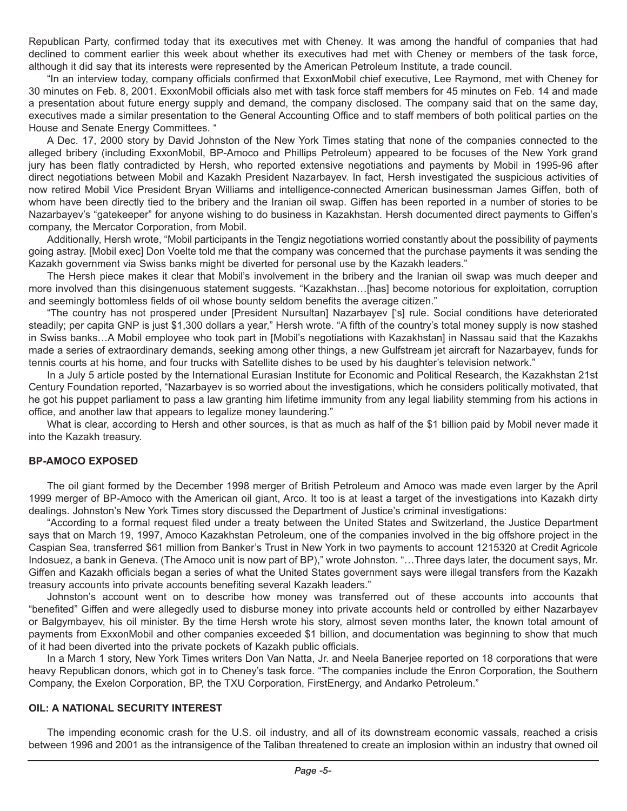Republican Party, confirmed today that its executives met with Cheney. It was among the handful of companies that had declined to comment earlier this week about whether its executives had met with Cheney or members of the task force, although it did say that its interests were represented by the American Petroleum Institute, a trade council.

"In an interview today, company officials confirmed that ExxonMobil chief executive, Lee Raymond, met with Cheney for 30 minutes on Feb. 8, 2001. ExxonMobil officials also met with task force staff members for 45 minutes on Feb. 14 and made a presentation about future energy supply and demand, the company disclosed. The company said that on the same day, executives made a similar presentation to the General Accounting Office and to staff members of both political parties on the House and Senate Energy Committees. "

A Dec. 17, 2000 story by David Johnston of the New York Times stating that none of the companies connected to the alleged bribery (including ExxonMobil, BP-Amoco and Phillips Petroleum) appeared to be focuses of the New York grand jury has been flatly contradicted by Hersh, who reported extensive negotiations and payments by Mobil in 1995-96 after direct negotiations between Mobil and Kazakh President Nazarbayev. In fact, Hersh investigated the suspicious activities of now retired Mobil Vice President Bryan Williams and intelligence-connected American businessman James Giffen, both of whom have been directly tied to the bribery and the Iranian oil swap. Giffen has been reported in a number of stories to be Nazarbayev's "gatekeeper" for anyone wishing to do business in Kazakhstan. Hersh documented direct payments to Giffen's company, the Mercator Corporation, from Mobil.

Additionally, Hersh wrote, "Mobil participants in the Tengiz negotiations worried constantly about the possibility of payments going astray. [Mobil exec] Don Voelte told me that the company was concerned that the purchase payments it was sending the Kazakh government via Swiss banks might be diverted for personal use by the Kazakh leaders."

The Hersh piece makes it clear that Mobil's involvement in the bribery and the Iranian oil swap was much deeper and more involved than this disingenuous statement suggests. "Kazakhstan…[has] become notorious for exploitation, corruption and seemingly bottomless fields of oil whose bounty seldom benefits the average citizen."

"The country has not prospered under [President Nursultan] Nazarbayev ['s] rule. Social conditions have deteriorated steadily; per capita GNP is just \$1,300 dollars a year," Hersh wrote. "A fifth of the country's total money supply is now stashed in Swiss banks…A Mobil employee who took part in [Mobil's negotiations with Kazakhstan] in Nassau said that the Kazakhs made a series of extraordinary demands, seeking among other things, a new Gulfstream jet aircraft for Nazarbayev, funds for tennis courts at his home, and four trucks with Satellite dishes to be used by his daughter's television network."

In a July 5 article posted by the International Eurasian Institute for Economic and Political Research, the Kazakhstan 21st Century Foundation reported, "Nazarbayev is so worried about the investigations, which he considers politically motivated, that he got his puppet parliament to pass a law granting him lifetime immunity from any legal liability stemming from his actions in office, and another law that appears to legalize money laundering."

What is clear, according to Hersh and other sources, is that as much as half of the \$1 billion paid by Mobil never made it into the Kazakh treasury.

#### **BP-AMOCO EXPOSED**

The oil giant formed by the December 1998 merger of British Petroleum and Amoco was made even larger by the April 1999 merger of BP-Amoco with the American oil giant, Arco. It too is at least a target of the investigations into Kazakh dirty dealings. Johnston's New York Times story discussed the Department of Justice's criminal investigations:

"According to a formal request filed under a treaty between the United States and Switzerland, the Justice Department says that on March 19, 1997, Amoco Kazakhstan Petroleum, one of the companies involved in the big offshore project in the Caspian Sea, transferred \$61 million from Banker's Trust in New York in two payments to account 1215320 at Credit Agricole Indosuez, a bank in Geneva. (The Amoco unit is now part of BP)," wrote Johnston. "…Three days later, the document says, Mr. Giffen and Kazakh officials began a series of what the United States government says were illegal transfers from the Kazakh treasury accounts into private accounts benefiting several Kazakh leaders."

Johnston's account went on to describe how money was transferred out of these accounts into accounts that "benefited" Giffen and were allegedly used to disburse money into private accounts held or controlled by either Nazarbayev or Balgymbayev, his oil minister. By the time Hersh wrote his story, almost seven months later, the known total amount of payments from ExxonMobil and other companies exceeded \$1 billion, and documentation was beginning to show that much of it had been diverted into the private pockets of Kazakh public officials.

In a March 1 story, New York Times writers Don Van Natta, Jr. and Neela Banerjee reported on 18 corporations that were heavy Republican donors, which got in to Cheney's task force. "The companies include the Enron Corporation, the Southern Company, the Exelon Corporation, BP, the TXU Corporation, FirstEnergy, and Andarko Petroleum."

#### **OIL: A NATIONAL SECURITY INTEREST**

The impending economic crash for the U.S. oil industry, and all of its downstream economic vassals, reached a crisis between 1996 and 2001 as the intransigence of the Taliban threatened to create an implosion within an industry that owned oil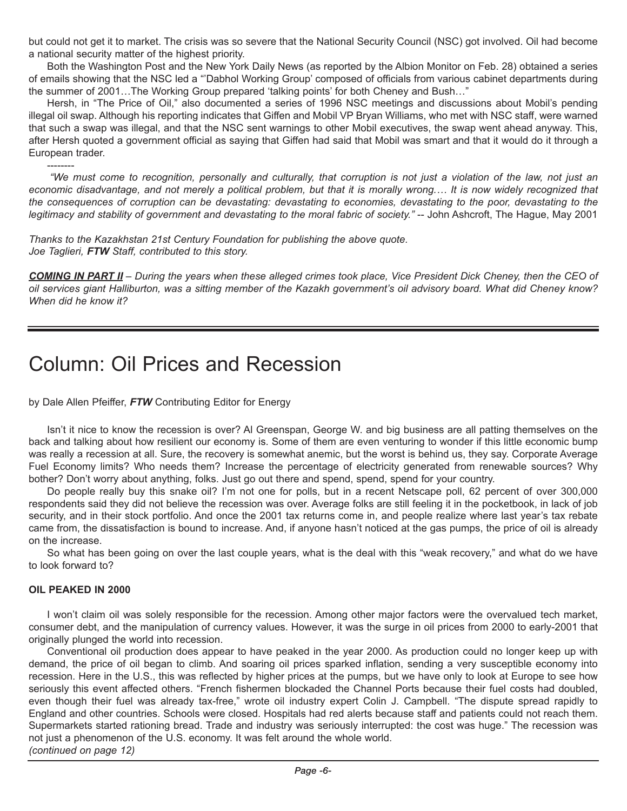but could not get it to market. The crisis was so severe that the National Security Council (NSC) got involved. Oil had become a national security matter of the highest priority.

Both the Washington Post and the New York Daily News (as reported by the Albion Monitor on Feb. 28) obtained a series of emails showing that the NSC led a "'Dabhol Working Group' composed of officials from various cabinet departments during the summer of 2001…The Working Group prepared 'talking points' for both Cheney and Bush…"

Hersh, in "The Price of Oil," also documented a series of 1996 NSC meetings and discussions about Mobil's pending illegal oil swap. Although his reporting indicates that Giffen and Mobil VP Bryan Williams, who met with NSC staff, were warned that such a swap was illegal, and that the NSC sent warnings to other Mobil executives, the swap went ahead anyway. This, after Hersh quoted a government official as saying that Giffen had said that Mobil was smart and that it would do it through a European trader.

 *"We must come to recognition, personally and culturally, that corruption is not just a violation of the law, not just an economic disadvantage, and not merely a political problem, but that it is morally wrong.… It is now widely recognized that the consequences of corruption can be devastating: devastating to economies, devastating to the poor, devastating to the legitimacy and stability of government and devastating to the moral fabric of society."* -- John Ashcroft, The Hague, May 2001

*Thanks to the Kazakhstan 21st Century Foundation for publishing the above quote. Joe Taglieri, FTW Staff, contributed to this story.*

*COMING IN PART II – During the years when these alleged crimes took place, Vice President Dick Cheney, then the CEO of oil services giant Halliburton, was a sitting member of the Kazakh government's oil advisory board. What did Cheney know? When did he know it?*

# Column: Oil Prices and Recession

by Dale Allen Pfeiffer, *FTW* Contributing Editor for Energy

Isn't it nice to know the recession is over? Al Greenspan, George W. and big business are all patting themselves on the back and talking about how resilient our economy is. Some of them are even venturing to wonder if this little economic bump was really a recession at all. Sure, the recovery is somewhat anemic, but the worst is behind us, they say. Corporate Average Fuel Economy limits? Who needs them? Increase the percentage of electricity generated from renewable sources? Why bother? Don't worry about anything, folks. Just go out there and spend, spend, spend for your country.

Do people really buy this snake oil? I'm not one for polls, but in a recent Netscape poll, 62 percent of over 300,000 respondents said they did not believe the recession was over. Average folks are still feeling it in the pocketbook, in lack of job security, and in their stock portfolio. And once the 2001 tax returns come in, and people realize where last year's tax rebate came from, the dissatisfaction is bound to increase. And, if anyone hasn't noticed at the gas pumps, the price of oil is already on the increase.

So what has been going on over the last couple years, what is the deal with this "weak recovery," and what do we have to look forward to?

# **OIL PEAKED IN 2000**

--------

I won't claim oil was solely responsible for the recession. Among other major factors were the overvalued tech market, consumer debt, and the manipulation of currency values. However, it was the surge in oil prices from 2000 to early-2001 that originally plunged the world into recession.

Conventional oil production does appear to have peaked in the year 2000. As production could no longer keep up with demand, the price of oil began to climb. And soaring oil prices sparked inflation, sending a very susceptible economy into recession. Here in the U.S., this was reflected by higher prices at the pumps, but we have only to look at Europe to see how seriously this event affected others. "French fishermen blockaded the Channel Ports because their fuel costs had doubled, even though their fuel was already tax-free," wrote oil industry expert Colin J. Campbell. "The dispute spread rapidly to England and other countries. Schools were closed. Hospitals had red alerts because staff and patients could not reach them. Supermarkets started rationing bread. Trade and industry was seriously interrupted: the cost was huge." The recession was not just a phenomenon of the U.S. economy. It was felt around the whole world. *(continued on page 12)*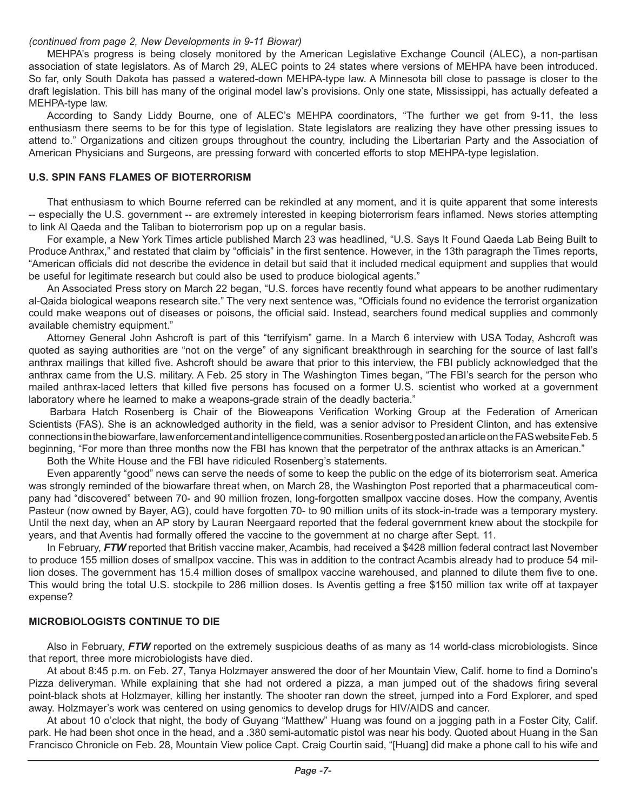#### *(continued from page 2, New Developments in 9-11 Biowar)*

MEHPA's progress is being closely monitored by the American Legislative Exchange Council (ALEC), a non-partisan association of state legislators. As of March 29, ALEC points to 24 states where versions of MEHPA have been introduced. So far, only South Dakota has passed a watered-down MEHPA-type law. A Minnesota bill close to passage is closer to the draft legislation. This bill has many of the original model law's provisions. Only one state, Mississippi, has actually defeated a MEHPA-type law.

According to Sandy Liddy Bourne, one of ALEC's MEHPA coordinators, "The further we get from 9-11, the less enthusiasm there seems to be for this type of legislation. State legislators are realizing they have other pressing issues to attend to." Organizations and citizen groups throughout the country, including the Libertarian Party and the Association of American Physicians and Surgeons, are pressing forward with concerted efforts to stop MEHPA-type legislation.

### **U.S. SPIN FANS FLAMES OF BIOTERRORISM**

That enthusiasm to which Bourne referred can be rekindled at any moment, and it is quite apparent that some interests -- especially the U.S. government -- are extremely interested in keeping bioterrorism fears inflamed. News stories attempting to link Al Qaeda and the Taliban to bioterrorism pop up on a regular basis.

For example, a New York Times article published March 23 was headlined, "U.S. Says It Found Qaeda Lab Being Built to Produce Anthrax," and restated that claim by "officials" in the first sentence. However, in the 13th paragraph the Times reports, "American officials did not describe the evidence in detail but said that it included medical equipment and supplies that would be useful for legitimate research but could also be used to produce biological agents."

An Associated Press story on March 22 began, "U.S. forces have recently found what appears to be another rudimentary al-Qaida biological weapons research site." The very next sentence was, "Officials found no evidence the terrorist organization could make weapons out of diseases or poisons, the official said. Instead, searchers found medical supplies and commonly available chemistry equipment."

Attorney General John Ashcroft is part of this "terrifyism" game. In a March 6 interview with USA Today, Ashcroft was quoted as saying authorities are "not on the verge" of any significant breakthrough in searching for the source of last fall's anthrax mailings that killed five. Ashcroft should be aware that prior to this interview, the FBI publicly acknowledged that the anthrax came from the U.S. military. A Feb. 25 story in The Washington Times began, "The FBI's search for the person who mailed anthrax-laced letters that killed five persons has focused on a former U.S. scientist who worked at a government laboratory where he learned to make a weapons-grade strain of the deadly bacteria."

 Barbara Hatch Rosenberg is Chair of the Bioweapons Verification Working Group at the Federation of American Scientists (FAS). She is an acknowledged authority in the field, was a senior advisor to President Clinton, and has extensive connections in the biowarfare, law enforcement and intelligence communities. Rosenberg posted an article on the FAS website Feb. 5 beginning, "For more than three months now the FBI has known that the perpetrator of the anthrax attacks is an American."

Both the White House and the FBI have ridiculed Rosenberg's statements.

Even apparently "good" news can serve the needs of some to keep the public on the edge of its bioterrorism seat. America was strongly reminded of the biowarfare threat when, on March 28, the Washington Post reported that a pharmaceutical company had "discovered" between 70- and 90 million frozen, long-forgotten smallpox vaccine doses. How the company, Aventis Pasteur (now owned by Bayer, AG), could have forgotten 70- to 90 million units of its stock-in-trade was a temporary mystery. Until the next day, when an AP story by Lauran Neergaard reported that the federal government knew about the stockpile for years, and that Aventis had formally offered the vaccine to the government at no charge after Sept. 11.

In February, *FTW* reported that British vaccine maker, Acambis, had received a \$428 million federal contract last November to produce 155 million doses of smallpox vaccine. This was in addition to the contract Acambis already had to produce 54 million doses. The government has 15.4 million doses of smallpox vaccine warehoused, and planned to dilute them five to one. This would bring the total U.S. stockpile to 286 million doses. Is Aventis getting a free \$150 million tax write off at taxpayer expense?

# **MICROBIOLOGISTS CONTINUE TO DIE**

Also in February, *FTW* reported on the extremely suspicious deaths of as many as 14 world-class microbiologists. Since that report, three more microbiologists have died.

At about 8:45 p.m. on Feb. 27, Tanya Holzmayer answered the door of her Mountain View, Calif. home to find a Domino's Pizza deliveryman. While explaining that she had not ordered a pizza, a man jumped out of the shadows firing several point-black shots at Holzmayer, killing her instantly. The shooter ran down the street, jumped into a Ford Explorer, and sped away. Holzmayer's work was centered on using genomics to develop drugs for HIV/AIDS and cancer.

At about 10 o'clock that night, the body of Guyang "Matthew" Huang was found on a jogging path in a Foster City, Calif. park. He had been shot once in the head, and a .380 semi-automatic pistol was near his body. Quoted about Huang in the San Francisco Chronicle on Feb. 28, Mountain View police Capt. Craig Courtin said, "[Huang] did make a phone call to his wife and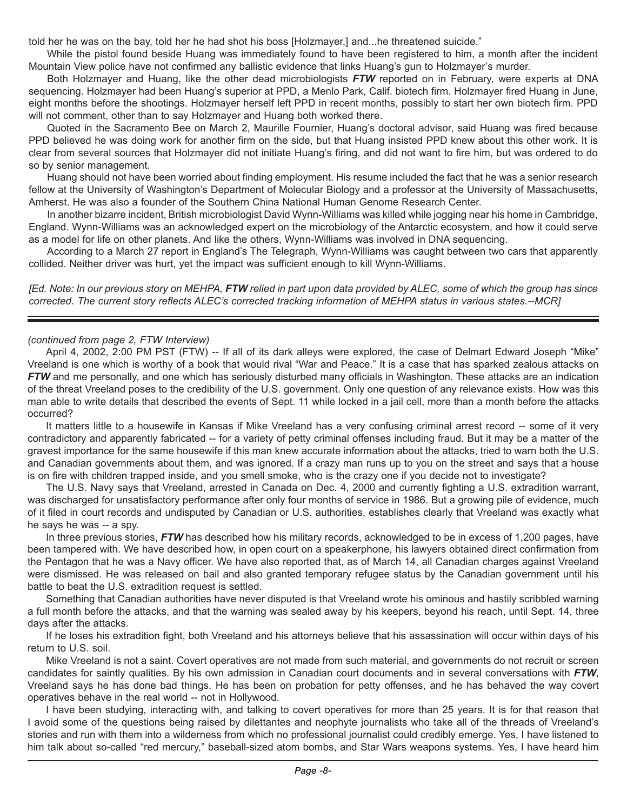told her he was on the bay, told her he had shot his boss [Holzmayer,] and...he threatened suicide."

While the pistol found beside Huang was immediately found to have been registered to him, a month after the incident Mountain View police have not confirmed any ballistic evidence that links Huang's gun to Holzmayer's murder.

Both Holzmayer and Huang, like the other dead microbiologists *FTW* reported on in February, were experts at DNA sequencing. Holzmayer had been Huang's superior at PPD, a Menlo Park, Calif. biotech firm. Holzmayer fired Huang in June, eight months before the shootings. Holzmayer herself left PPD in recent months, possibly to start her own biotech firm. PPD will not comment, other than to say Holzmayer and Huang both worked there.

Quoted in the Sacramento Bee on March 2, Maurille Fournier, Huang's doctoral advisor, said Huang was fired because PPD believed he was doing work for another firm on the side, but that Huang insisted PPD knew about this other work. It is clear from several sources that Holzmayer did not initiate Huang's firing, and did not want to fire him, but was ordered to do so by senior management.

Huang should not have been worried about finding employment. His resume included the fact that he was a senior research fellow at the University of Washington's Department of Molecular Biology and a professor at the University of Massachusetts, Amherst. He was also a founder of the Southern China National Human Genome Research Center.

In another bizarre incident, British microbiologist David Wynn-Williams was killed while jogging near his home in Cambridge, England. Wynn-Williams was an acknowledged expert on the microbiology of the Antarctic ecosystem, and how it could serve as a model for life on other planets. And like the others, Wynn-Williams was involved in DNA sequencing.

According to a March 27 report in England's The Telegraph, Wynn-Williams was caught between two cars that apparently collided. Neither driver was hurt, yet the impact was sufficient enough to kill Wynn-Williams.

*[Ed. Note: In our previous story on MEHPA, FTW relied in part upon data provided by ALEC, some of which the group has since corrected. The current story reflects ALEC's corrected tracking information of MEHPA status in various states.--MCR]*

#### *(continued from page 2, FTW Interview)*

April 4, 2002, 2:00 PM PST (FTW) -- If all of its dark alleys were explored, the case of Delmart Edward Joseph "Mike" Vreeland is one which is worthy of a book that would rival "War and Peace." It is a case that has sparked zealous attacks on *FTW* and me personally, and one which has seriously disturbed many officials in Washington. These attacks are an indication of the threat Vreeland poses to the credibility of the U.S. government. Only one question of any relevance exists. How was this man able to write details that described the events of Sept. 11 while locked in a jail cell, more than a month before the attacks occurred?

It matters little to a housewife in Kansas if Mike Vreeland has a very confusing criminal arrest record -- some of it very contradictory and apparently fabricated -- for a variety of petty criminal offenses including fraud. But it may be a matter of the gravest importance for the same housewife if this man knew accurate information about the attacks, tried to warn both the U.S. and Canadian governments about them, and was ignored. If a crazy man runs up to you on the street and says that a house is on fire with children trapped inside, and you smell smoke, who is the crazy one if you decide not to investigate?

The U.S. Navy says that Vreeland, arrested in Canada on Dec. 4, 2000 and currently fighting a U.S. extradition warrant, was discharged for unsatisfactory performance after only four months of service in 1986. But a growing pile of evidence, much of it filed in court records and undisputed by Canadian or U.S. authorities, establishes clearly that Vreeland was exactly what he says he was -- a spy.

In three previous stories, *FTW* has described how his military records, acknowledged to be in excess of 1,200 pages, have been tampered with. We have described how, in open court on a speakerphone, his lawyers obtained direct confirmation from the Pentagon that he was a Navy officer. We have also reported that, as of March 14, all Canadian charges against Vreeland were dismissed. He was released on bail and also granted temporary refugee status by the Canadian government until his battle to beat the U.S. extradition request is settled.

Something that Canadian authorities have never disputed is that Vreeland wrote his ominous and hastily scribbled warning a full month before the attacks, and that the warning was sealed away by his keepers, beyond his reach, until Sept. 14, three days after the attacks.

If he loses his extradition fight, both Vreeland and his attorneys believe that his assassination will occur within days of his return to U.S. soil.

Mike Vreeland is not a saint. Covert operatives are not made from such material, and governments do not recruit or screen candidates for saintly qualities. By his own admission in Canadian court documents and in several conversations with *FTW*, Vreeland says he has done bad things. He has been on probation for petty offenses, and he has behaved the way covert operatives behave in the real world -- not in Hollywood.

I have been studying, interacting with, and talking to covert operatives for more than 25 years. It is for that reason that I avoid some of the questions being raised by dilettantes and neophyte journalists who take all of the threads of Vreeland's stories and run with them into a wilderness from which no professional journalist could credibly emerge. Yes, I have listened to him talk about so-called "red mercury," baseball-sized atom bombs, and Star Wars weapons systems. Yes, I have heard him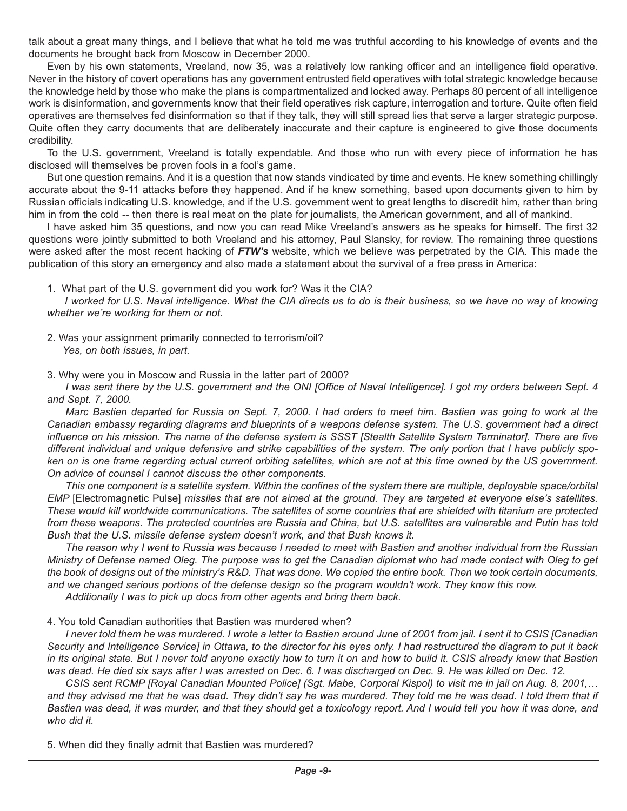talk about a great many things, and I believe that what he told me was truthful according to his knowledge of events and the documents he brought back from Moscow in December 2000.

Even by his own statements, Vreeland, now 35, was a relatively low ranking officer and an intelligence field operative. Never in the history of covert operations has any government entrusted field operatives with total strategic knowledge because the knowledge held by those who make the plans is compartmentalized and locked away. Perhaps 80 percent of all intelligence work is disinformation, and governments know that their field operatives risk capture, interrogation and torture. Quite often field operatives are themselves fed disinformation so that if they talk, they will still spread lies that serve a larger strategic purpose. Quite often they carry documents that are deliberately inaccurate and their capture is engineered to give those documents credibility.

To the U.S. government, Vreeland is totally expendable. And those who run with every piece of information he has disclosed will themselves be proven fools in a fool's game.

But one question remains. And it is a question that now stands vindicated by time and events. He knew something chillingly accurate about the 9-11 attacks before they happened. And if he knew something, based upon documents given to him by Russian officials indicating U.S. knowledge, and if the U.S. government went to great lengths to discredit him, rather than bring him in from the cold -- then there is real meat on the plate for journalists, the American government, and all of mankind.

I have asked him 35 questions, and now you can read Mike Vreeland's answers as he speaks for himself. The first 32 questions were jointly submitted to both Vreeland and his attorney, Paul Slansky, for review. The remaining three questions were asked after the most recent hacking of *FTW's* website, which we believe was perpetrated by the CIA. This made the publication of this story an emergency and also made a statement about the survival of a free press in America:

1. What part of the U.S. government did you work for? Was it the CIA?

 *I worked for U.S. Naval intelligence. What the CIA directs us to do is their business, so we have no way of knowing whether we're working for them or not.*

2. Was your assignment primarily connected to terrorism/oil?  *Yes, on both issues, in part.*

3. Why were you in Moscow and Russia in the latter part of 2000?

*I was sent there by the U.S. government and the ONI [Office of Naval Intelligence]. I got my orders between Sept. 4 and Sept. 7, 2000.*

*Marc Bastien departed for Russia on Sept. 7, 2000. I had orders to meet him. Bastien was going to work at the Canadian embassy regarding diagrams and blueprints of a weapons defense system. The U.S. government had a direct influence on his mission. The name of the defense system is SSST [Stealth Satellite System Terminator]. There are five different individual and unique defensive and strike capabilities of the system. The only portion that I have publicly spoken on is one frame regarding actual current orbiting satellites, which are not at this time owned by the US government. On advice of counsel I cannot discuss the other components.*

*This one component is a satellite system. Within the confines of the system there are multiple, deployable space/orbital EMP* [Electromagnetic Pulse] *missiles that are not aimed at the ground. They are targeted at everyone else's satellites. These would kill worldwide communications. The satellites of some countries that are shielded with titanium are protected from these weapons. The protected countries are Russia and China, but U.S. satellites are vulnerable and Putin has told Bush that the U.S. missile defense system doesn't work, and that Bush knows it.*

*The reason why I went to Russia was because I needed to meet with Bastien and another individual from the Russian Ministry of Defense named Oleg. The purpose was to get the Canadian diplomat who had made contact with Oleg to get the book of designs out of the ministry's R&D. That was done. We copied the entire book. Then we took certain documents, and we changed serious portions of the defense design so the program wouldn't work. They know this now.*

*Additionally I was to pick up docs from other agents and bring them back.*

#### 4. You told Canadian authorities that Bastien was murdered when?

I never told them he was murdered. I wrote a letter to Bastien around June of 2001 from jail. I sent it to CSIS [Canadian *Security and Intelligence Service] in Ottawa, to the director for his eyes only. I had restructured the diagram to put it back in its original state. But I never told anyone exactly how to turn it on and how to build it. CSIS already knew that Bastien was dead. He died six says after I was arrested on Dec. 6. I was discharged on Dec. 9. He was killed on Dec. 12.*

*CSIS sent RCMP [Royal Canadian Mounted Police] (Sgt. Mabe, Corporal Kispol) to visit me in jail on Aug. 8, 2001,…* and they advised me that he was dead. They didn't say he was murdered. They told me he was dead. I told them that if *Bastien was dead, it was murder, and that they should get a toxicology report. And I would tell you how it was done, and who did it.* 

5. When did they finally admit that Bastien was murdered?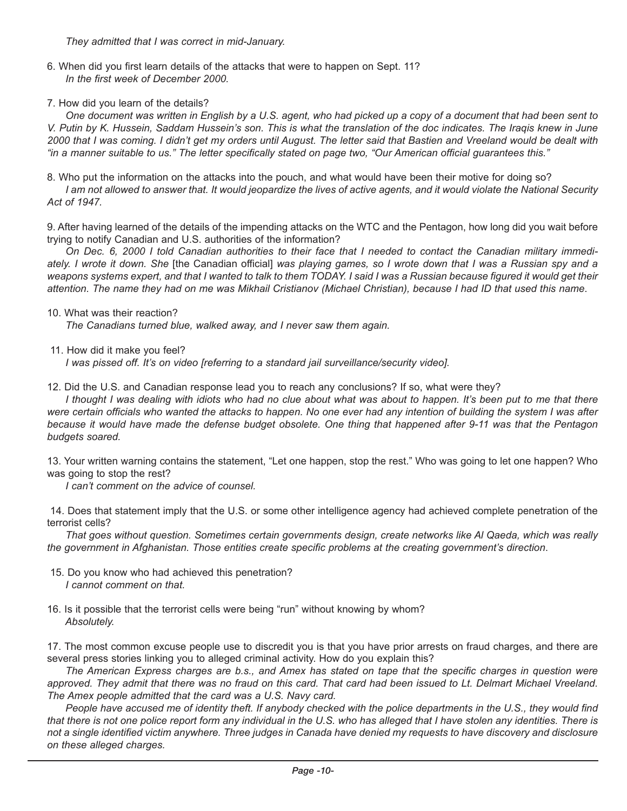- 6. When did you first learn details of the attacks that were to happen on Sept. 11? *In the first week of December 2000.*
- 7. How did you learn of the details?

*One document was written in English by a U.S. agent, who had picked up a copy of a document that had been sent to V. Putin by K. Hussein, Saddam Hussein's son. This is what the translation of the doc indicates. The Iraqis knew in June 2000 that I was coming. I didn't get my orders until August. The letter said that Bastien and Vreeland would be dealt with "in a manner suitable to us." The letter specifically stated on page two, "Our American official guarantees this."*

8. Who put the information on the attacks into the pouch, and what would have been their motive for doing so?

*I am not allowed to answer that. It would jeopardize the lives of active agents, and it would violate the National Security Act of 1947.*

9. After having learned of the details of the impending attacks on the WTC and the Pentagon, how long did you wait before trying to notify Canadian and U.S. authorities of the information?

*On Dec. 6, 2000 I told Canadian authorities to their face that I needed to contact the Canadian military immediately. I wrote it down. She* [the Canadian official] *was playing games, so I wrote down that I was a Russian spy and a weapons systems expert, and that I wanted to talk to them TODAY. I said I was a Russian because figured it would get their attention. The name they had on me was Mikhail Cristianov (Michael Christian), because I had ID that used this name*.

10. What was their reaction?

*The Canadians turned blue, walked away, and I never saw them again.*

11. How did it make you feel?

*I was pissed off. It's on video [referring to a standard jail surveillance/security video].*

12. Did the U.S. and Canadian response lead you to reach any conclusions? If so, what were they?

*I thought I was dealing with idiots who had no clue about what was about to happen. It's been put to me that there were certain officials who wanted the attacks to happen. No one ever had any intention of building the system I was after because it would have made the defense budget obsolete. One thing that happened after 9-11 was that the Pentagon budgets soared.*

13. Your written warning contains the statement, "Let one happen, stop the rest." Who was going to let one happen? Who was going to stop the rest?

*I can't comment on the advice of counsel.*

 14. Does that statement imply that the U.S. or some other intelligence agency had achieved complete penetration of the terrorist cells?

*That goes without question. Sometimes certain governments design, create networks like Al Qaeda, which was really the government in Afghanistan. Those entities create specific problems at the creating government's direction*.

- 15. Do you know who had achieved this penetration? *I cannot comment on that.*
- 16. Is it possible that the terrorist cells were being "run" without knowing by whom? *Absolutely.*

17. The most common excuse people use to discredit you is that you have prior arrests on fraud charges, and there are several press stories linking you to alleged criminal activity. How do you explain this?

*The American Express charges are b.s., and Amex has stated on tape that the specific charges in question were approved. They admit that there was no fraud on this card. That card had been issued to Lt. Delmart Michael Vreeland. The Amex people admitted that the card was a U.S. Navy card.*

*People have accused me of identity theft. If anybody checked with the police departments in the U.S., they would find that there is not one police report form any individual in the U.S. who has alleged that I have stolen any identities. There is not a single identified victim anywhere. Three judges in Canada have denied my requests to have discovery and disclosure on these alleged charges.*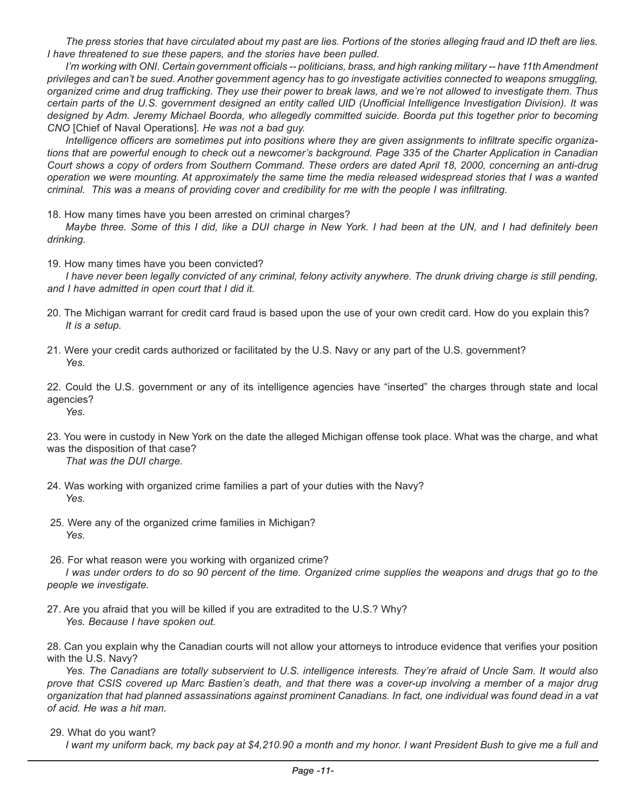*The press stories that have circulated about my past are lies. Portions of the stories alleging fraud and ID theft are lies. I have threatened to sue these papers, and the stories have been pulled.*

*I'm working with ONI. Certain government officials -- politicians, brass, and high ranking military -- have 11th Amendment privileges and can't be sued. Another government agency has to go investigate activities connected to weapons smuggling, organized crime and drug trafficking. They use their power to break laws, and we're not allowed to investigate them. Thus certain parts of the U.S. government designed an entity called UID (Unofficial Intelligence Investigation Division). It was designed by Adm. Jeremy Michael Boorda, who allegedly committed suicide. Boorda put this together prior to becoming CNO* [Chief of Naval Operations]*. He was not a bad guy.*

*Intelligence officers are sometimes put into positions where they are given assignments to infiltrate specific organizations that are powerful enough to check out a newcomer's background. Page 335 of the Charter Application in Canadian Court shows a copy of orders from Southern Command. These orders are dated April 18, 2000, concerning an anti-drug operation we were mounting. At approximately the same time the media released widespread stories that I was a wanted criminal. This was a means of providing cover and credibility for me with the people I was infiltrating.*

18. How many times have you been arrested on criminal charges?

*Maybe three. Some of this I did, like a DUI charge in New York. I had been at the UN, and I had definitely been drinking.* 

19. How many times have you been convicted?

*I have never been legally convicted of any criminal, felony activity anywhere. The drunk driving charge is still pending, and I have admitted in open court that I did it.*

- 20. The Michigan warrant for credit card fraud is based upon the use of your own credit card. How do you explain this? *It is a setup.*
- 21. Were your credit cards authorized or facilitated by the U.S. Navy or any part of the U.S. government? *Yes.*

22. Could the U.S. government or any of its intelligence agencies have "inserted" the charges through state and local agencies?

*Yes.*

23. You were in custody in New York on the date the alleged Michigan offense took place. What was the charge, and what was the disposition of that case?

*That was the DUI charge.*

- 24. Was working with organized crime families a part of your duties with the Navy? *Yes.*
- 25. Were any of the organized crime families in Michigan? *Yes.*
- 26. For what reason were you working with organized crime? *I* was under orders to do so 90 percent of the time. Organized crime supplies the weapons and drugs that go to the *people we investigate.*
- 27. Are you afraid that you will be killed if you are extradited to the U.S.? Why? *Yes. Because I have spoken out.*

28. Can you explain why the Canadian courts will not allow your attorneys to introduce evidence that verifies your position with the U.S. Navy?

*Yes. The Canadians are totally subservient to U.S. intelligence interests. They're afraid of Uncle Sam. It would also prove that CSIS covered up Marc Bastien's death, and that there was a cover-up involving a member of a major drug organization that had planned assassinations against prominent Canadians. In fact, one individual was found dead in a vat of acid. He was a hit man.*

29. What do you want?

*I* want my uniform back, my back pay at \$4,210.90 a month and my honor. I want President Bush to give me a full and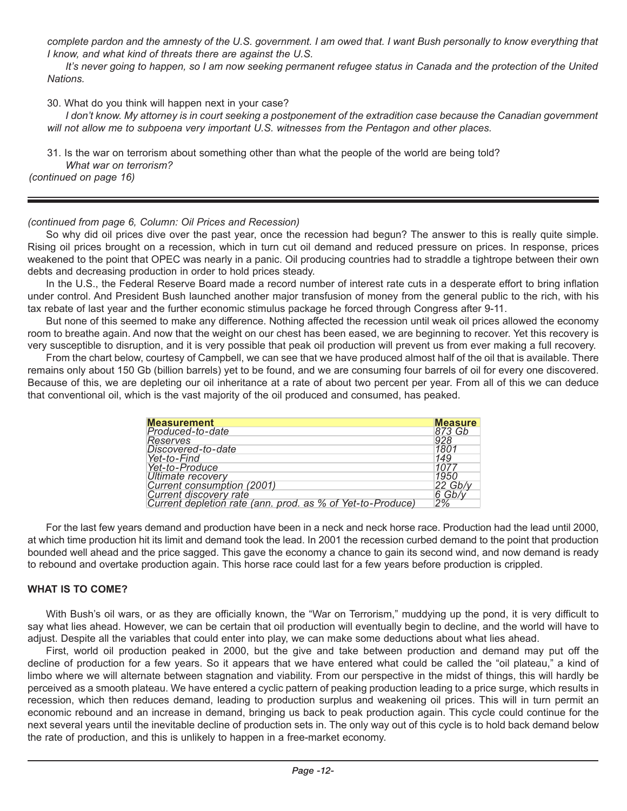*complete pardon and the amnesty of the U.S. government. I am owed that. I want Bush personally to know everything that I know, and what kind of threats there are against the U.S.* 

*It's never going to happen, so I am now seeking permanent refugee status in Canada and the protection of the United Nations.*

30. What do you think will happen next in your case?

*I don't know. My attorney is in court seeking a postponement of the extradition case because the Canadian government will not allow me to subpoena very important U.S. witnesses from the Pentagon and other places.*

31. Is the war on terrorism about something other than what the people of the world are being told?

*What war on terrorism?*

*(continued on page 16)*

#### *(continued from page 6, Column: Oil Prices and Recession)*

So why did oil prices dive over the past year, once the recession had begun? The answer to this is really quite simple. Rising oil prices brought on a recession, which in turn cut oil demand and reduced pressure on prices. In response, prices weakened to the point that OPEC was nearly in a panic. Oil producing countries had to straddle a tightrope between their own debts and decreasing production in order to hold prices steady.

In the U.S., the Federal Reserve Board made a record number of interest rate cuts in a desperate effort to bring inflation under control. And President Bush launched another major transfusion of money from the general public to the rich, with his tax rebate of last year and the further economic stimulus package he forced through Congress after 9-11.

But none of this seemed to make any difference. Nothing affected the recession until weak oil prices allowed the economy room to breathe again. And now that the weight on our chest has been eased, we are beginning to recover. Yet this recovery is very susceptible to disruption, and it is very possible that peak oil production will prevent us from ever making a full recovery.

From the chart below, courtesy of Campbell, we can see that we have produced almost half of the oil that is available. There remains only about 150 Gb (billion barrels) yet to be found, and we are consuming four barrels of oil for every one discovered. Because of this, we are depleting our oil inheritance at a rate of about two percent per year. From all of this we can deduce that conventional oil, which is the vast majority of the oil produced and consumed, has peaked.

| <b>Measurement</b>                                         | <b>Measure</b> |
|------------------------------------------------------------|----------------|
| Produced-to-date                                           | 873 Gb         |
| <b>Reserves</b>                                            | 928            |
| Discovered-to-date                                         | 1801           |
| Yet-to-Find                                                | 149            |
| Yet-to-Produce                                             | 1077           |
| Ultimate recovery                                          | 1950           |
| Current consumption (2001)                                 | 22 Gb/v        |
| Current discovery rate                                     | 6 Gb/v         |
| Current depletion rate (ann. prod. as % of Yet-to-Produce) | 2%             |

For the last few years demand and production have been in a neck and neck horse race. Production had the lead until 2000, at which time production hit its limit and demand took the lead. In 2001 the recession curbed demand to the point that production bounded well ahead and the price sagged. This gave the economy a chance to gain its second wind, and now demand is ready to rebound and overtake production again. This horse race could last for a few years before production is crippled.

# **WHAT IS TO COME?**

With Bush's oil wars, or as they are officially known, the "War on Terrorism," muddying up the pond, it is very difficult to say what lies ahead. However, we can be certain that oil production will eventually begin to decline, and the world will have to adjust. Despite all the variables that could enter into play, we can make some deductions about what lies ahead.

First, world oil production peaked in 2000, but the give and take between production and demand may put off the decline of production for a few years. So it appears that we have entered what could be called the "oil plateau," a kind of limbo where we will alternate between stagnation and viability. From our perspective in the midst of things, this will hardly be perceived as a smooth plateau. We have entered a cyclic pattern of peaking production leading to a price surge, which results in recession, which then reduces demand, leading to production surplus and weakening oil prices. This will in turn permit an economic rebound and an increase in demand, bringing us back to peak production again. This cycle could continue for the next several years until the inevitable decline of production sets in. The only way out of this cycle is to hold back demand below the rate of production, and this is unlikely to happen in a free-market economy.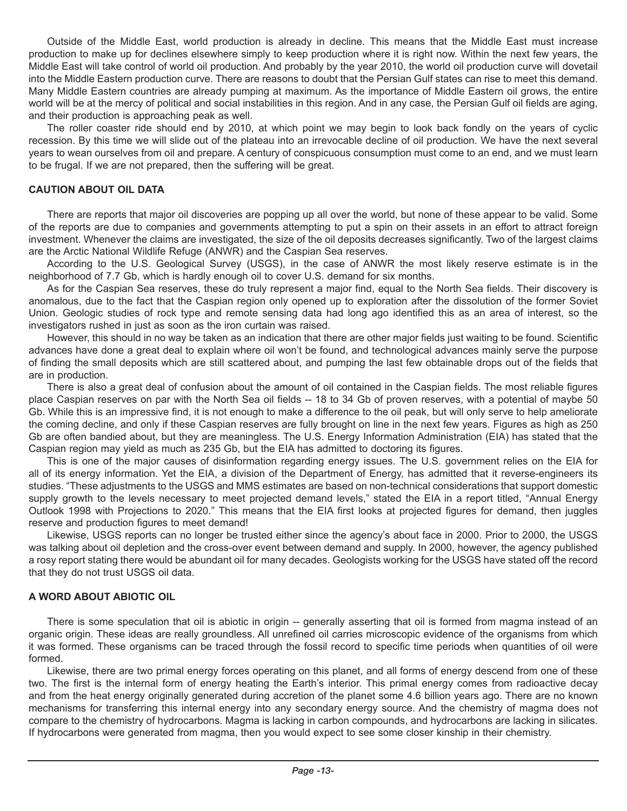Outside of the Middle East, world production is already in decline. This means that the Middle East must increase production to make up for declines elsewhere simply to keep production where it is right now. Within the next few years, the Middle East will take control of world oil production. And probably by the year 2010, the world oil production curve will dovetail into the Middle Eastern production curve. There are reasons to doubt that the Persian Gulf states can rise to meet this demand. Many Middle Eastern countries are already pumping at maximum. As the importance of Middle Eastern oil grows, the entire world will be at the mercy of political and social instabilities in this region. And in any case, the Persian Gulf oil fields are aging, and their production is approaching peak as well.

The roller coaster ride should end by 2010, at which point we may begin to look back fondly on the years of cyclic recession. By this time we will slide out of the plateau into an irrevocable decline of oil production. We have the next several years to wean ourselves from oil and prepare. A century of conspicuous consumption must come to an end, and we must learn to be frugal. If we are not prepared, then the suffering will be great.

#### **CAUTION ABOUT OIL DATA**

There are reports that major oil discoveries are popping up all over the world, but none of these appear to be valid. Some of the reports are due to companies and governments attempting to put a spin on their assets in an effort to attract foreign investment. Whenever the claims are investigated, the size of the oil deposits decreases significantly. Two of the largest claims are the Arctic National Wildlife Refuge (ANWR) and the Caspian Sea reserves.

According to the U.S. Geological Survey (USGS), in the case of ANWR the most likely reserve estimate is in the neighborhood of 7.7 Gb, which is hardly enough oil to cover U.S. demand for six months.

As for the Caspian Sea reserves, these do truly represent a major find, equal to the North Sea fields. Their discovery is anomalous, due to the fact that the Caspian region only opened up to exploration after the dissolution of the former Soviet Union. Geologic studies of rock type and remote sensing data had long ago identified this as an area of interest, so the investigators rushed in just as soon as the iron curtain was raised.

However, this should in no way be taken as an indication that there are other major fields just waiting to be found. Scientific advances have done a great deal to explain where oil won't be found, and technological advances mainly serve the purpose of finding the small deposits which are still scattered about, and pumping the last few obtainable drops out of the fields that are in production.

There is also a great deal of confusion about the amount of oil contained in the Caspian fields. The most reliable figures place Caspian reserves on par with the North Sea oil fields -- 18 to 34 Gb of proven reserves, with a potential of maybe 50 Gb. While this is an impressive find, it is not enough to make a difference to the oil peak, but will only serve to help ameliorate the coming decline, and only if these Caspian reserves are fully brought on line in the next few years. Figures as high as 250 Gb are often bandied about, but they are meaningless. The U.S. Energy Information Administration (EIA) has stated that the Caspian region may yield as much as 235 Gb, but the EIA has admitted to doctoring its figures.

This is one of the major causes of disinformation regarding energy issues. The U.S. government relies on the EIA for all of its energy information. Yet the EIA, a division of the Department of Energy, has admitted that it reverse-engineers its studies. "These adjustments to the USGS and MMS estimates are based on non-technical considerations that support domestic supply growth to the levels necessary to meet projected demand levels," stated the EIA in a report titled, "Annual Energy Outlook 1998 with Projections to 2020." This means that the EIA first looks at projected figures for demand, then juggles reserve and production figures to meet demand!

Likewise, USGS reports can no longer be trusted either since the agency's about face in 2000. Prior to 2000, the USGS was talking about oil depletion and the cross-over event between demand and supply. In 2000, however, the agency published a rosy report stating there would be abundant oil for many decades. Geologists working for the USGS have stated off the record that they do not trust USGS oil data.

### **A WORD ABOUT ABIOTIC OIL**

There is some speculation that oil is abiotic in origin -- generally asserting that oil is formed from magma instead of an organic origin. These ideas are really groundless. All unrefined oil carries microscopic evidence of the organisms from which it was formed. These organisms can be traced through the fossil record to specific time periods when quantities of oil were formed.

Likewise, there are two primal energy forces operating on this planet, and all forms of energy descend from one of these two. The first is the internal form of energy heating the Earth's interior. This primal energy comes from radioactive decay and from the heat energy originally generated during accretion of the planet some 4.6 billion years ago. There are no known mechanisms for transferring this internal energy into any secondary energy source. And the chemistry of magma does not compare to the chemistry of hydrocarbons. Magma is lacking in carbon compounds, and hydrocarbons are lacking in silicates. If hydrocarbons were generated from magma, then you would expect to see some closer kinship in their chemistry.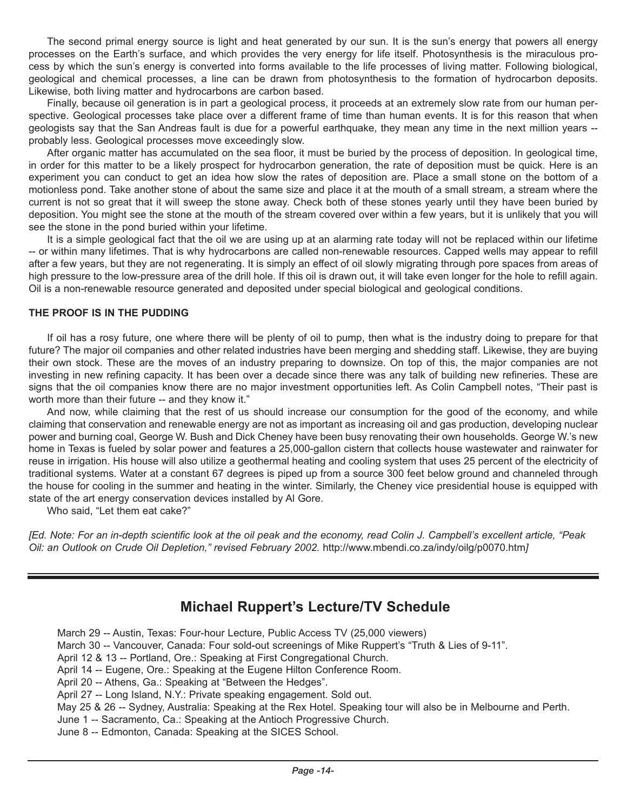The second primal energy source is light and heat generated by our sun. It is the sun's energy that powers all energy processes on the Earth's surface, and which provides the very energy for life itself. Photosynthesis is the miraculous process by which the sun's energy is converted into forms available to the life processes of living matter. Following biological, geological and chemical processes, a line can be drawn from photosynthesis to the formation of hydrocarbon deposits. Likewise, both living matter and hydrocarbons are carbon based.

Finally, because oil generation is in part a geological process, it proceeds at an extremely slow rate from our human perspective. Geological processes take place over a different frame of time than human events. It is for this reason that when geologists say that the San Andreas fault is due for a powerful earthquake, they mean any time in the next million years - probably less. Geological processes move exceedingly slow.

After organic matter has accumulated on the sea floor, it must be buried by the process of deposition. In geological time, in order for this matter to be a likely prospect for hydrocarbon generation, the rate of deposition must be quick. Here is an experiment you can conduct to get an idea how slow the rates of deposition are. Place a small stone on the bottom of a motionless pond. Take another stone of about the same size and place it at the mouth of a small stream, a stream where the current is not so great that it will sweep the stone away. Check both of these stones yearly until they have been buried by deposition. You might see the stone at the mouth of the stream covered over within a few years, but it is unlikely that you will see the stone in the pond buried within your lifetime.

It is a simple geological fact that the oil we are using up at an alarming rate today will not be replaced within our lifetime -- or within many lifetimes. That is why hydrocarbons are called non-renewable resources. Capped wells may appear to refill after a few years, but they are not regenerating. It is simply an effect of oil slowly migrating through pore spaces from areas of high pressure to the low-pressure area of the drill hole. If this oil is drawn out, it will take even longer for the hole to refill again. Oil is a non-renewable resource generated and deposited under special biological and geological conditions.

#### **THE PROOF IS IN THE PUDDING**

If oil has a rosy future, one where there will be plenty of oil to pump, then what is the industry doing to prepare for that future? The major oil companies and other related industries have been merging and shedding staff. Likewise, they are buying their own stock. These are the moves of an industry preparing to downsize. On top of this, the major companies are not investing in new refining capacity. It has been over a decade since there was any talk of building new refineries. These are signs that the oil companies know there are no major investment opportunities left. As Colin Campbell notes, "Their past is worth more than their future -- and they know it."

And now, while claiming that the rest of us should increase our consumption for the good of the economy, and while claiming that conservation and renewable energy are not as important as increasing oil and gas production, developing nuclear power and burning coal, George W. Bush and Dick Cheney have been busy renovating their own households. George W.'s new home in Texas is fueled by solar power and features a 25,000-gallon cistern that collects house wastewater and rainwater for reuse in irrigation. His house will also utilize a geothermal heating and cooling system that uses 25 percent of the electricity of traditional systems. Water at a constant 67 degrees is piped up from a source 300 feet below ground and channeled through the house for cooling in the summer and heating in the winter. Similarly, the Cheney vice presidential house is equipped with state of the art energy conservation devices installed by Al Gore.

Who said, "Let them eat cake?"

*[Ed. Note: For an in-depth scientific look at the oil peak and the economy, read Colin J. Campbell's excellent article, "Peak Oil: an Outlook on Crude Oil Depletion," revised February 2002.* <http://www.mbendi.co.za/indy/oilg/p0070.htm>*]*

# **Michael Ruppert's Lecture/TV Schedule**

March 29 -- Austin, Texas: Four-hour Lecture, Public Access TV (25,000 viewers)

March 30 -- Vancouver, Canada: Four sold-out screenings of Mike Ruppert's "Truth & Lies of 9-11".

April 12 & 13 -- Portland, Ore.: Speaking at First Congregational Church.

April 14 -- Eugene, Ore.: Speaking at the Eugene Hilton Conference Room.

April 20 -- Athens, Ga.: Speaking at "Between the Hedges".

April 27 -- Long Island, N.Y.: Private speaking engagement. Sold out.

May 25 & 26 -- Sydney, Australia: Speaking at the Rex Hotel. Speaking tour will also be in Melbourne and Perth.

June 1 -- Sacramento, Ca.: Speaking at the Antioch Progressive Church.

June 8 -- Edmonton, Canada: Speaking at the SICES School.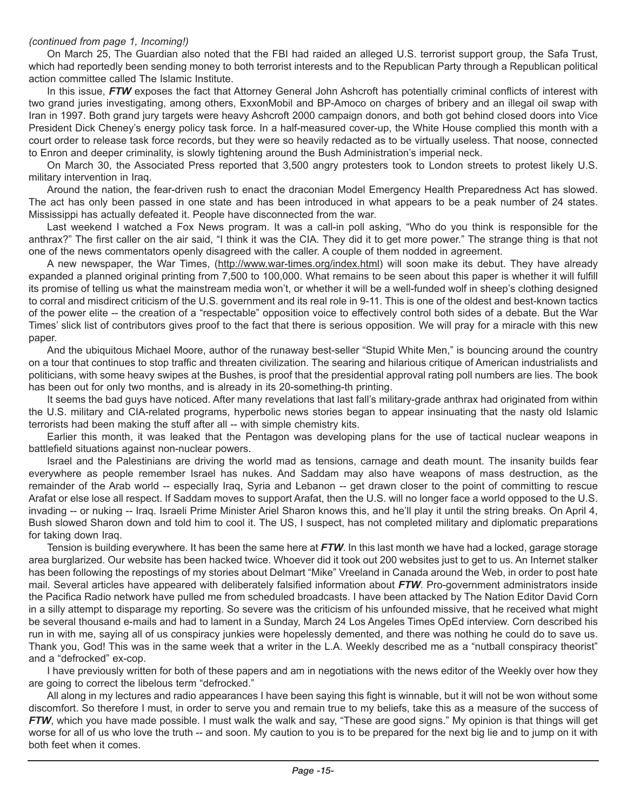#### *(continued from page 1, Incoming!)*

On March 25, The Guardian also noted that the FBI had raided an alleged U.S. terrorist support group, the Safa Trust, which had reportedly been sending money to both terrorist interests and to the Republican Party through a Republican political action committee called The Islamic Institute.

In this issue, *FTW* exposes the fact that Attorney General John Ashcroft has potentially criminal conflicts of interest with two grand juries investigating, among others, ExxonMobil and BP-Amoco on charges of bribery and an illegal oil swap with Iran in 1997. Both grand jury targets were heavy Ashcroft 2000 campaign donors, and both got behind closed doors into Vice President Dick Cheney's energy policy task force. In a half-measured cover-up, the White House complied this month with a court order to release task force records, but they were so heavily redacted as to be virtually useless. That noose, connected to Enron and deeper criminality, is slowly tightening around the Bush Administration's imperial neck.

On March 30, the Associated Press reported that 3,500 angry protesters took to London streets to protest likely U.S. military intervention in Iraq.

Around the nation, the fear-driven rush to enact the draconian Model Emergency Health Preparedness Act has slowed. The act has only been passed in one state and has been introduced in what appears to be a peak number of 24 states. Mississippi has actually defeated it. People have disconnected from the war.

Last weekend I watched a Fox News program. It was a call-in poll asking, "Who do you think is responsible for the anthrax?" The first caller on the air said, "I think it was the CIA. They did it to get more power." The strange thing is that not one of the news commentators openly disagreed with the caller. A couple of them nodded in agreement.

A new newspaper, the War Times, ([http://www.war-times.org/index.html\)](http://www.war-times.org/index.html) will soon make its debut. They have already expanded a planned original printing from 7,500 to 100,000. What remains to be seen about this paper is whether it will fulfill its promise of telling us what the mainstream media won't, or whether it will be a well-funded wolf in sheep's clothing designed to corral and misdirect criticism of the U.S. government and its real role in 9-11. This is one of the oldest and best-known tactics of the power elite -- the creation of a "respectable" opposition voice to effectively control both sides of a debate. But the War Times' slick list of contributors gives proof to the fact that there is serious opposition. We will pray for a miracle with this new paper.

And the ubiquitous Michael Moore, author of the runaway best-seller "Stupid White Men," is bouncing around the country on a tour that continues to stop traffic and threaten civilization. The searing and hilarious critique of American industrialists and politicians, with some heavy swipes at the Bushes, is proof that the presidential approval rating poll numbers are lies. The book has been out for only two months, and is already in its 20-something-th printing.

It seems the bad guys have noticed. After many revelations that last fall's military-grade anthrax had originated from within the U.S. military and CIA-related programs, hyperbolic news stories began to appear insinuating that the nasty old Islamic terrorists had been making the stuff after all -- with simple chemistry kits.

Earlier this month, it was leaked that the Pentagon was developing plans for the use of tactical nuclear weapons in battlefield situations against non-nuclear powers.

Israel and the Palestinians are driving the world mad as tensions, carnage and death mount. The insanity builds fear everywhere as people remember Israel has nukes. And Saddam may also have weapons of mass destruction, as the remainder of the Arab world -- especially Iraq, Syria and Lebanon -- get drawn closer to the point of committing to rescue Arafat or else lose all respect. If Saddam moves to support Arafat, then the U.S. will no longer face a world opposed to the U.S. invading -- or nuking -- Iraq. Israeli Prime Minister Ariel Sharon knows this, and he'll play it until the string breaks. On April 4, Bush slowed Sharon down and told him to cool it. The US, I suspect, has not completed military and diplomatic preparations for taking down Iraq.

Tension is building everywhere. It has been the same here at *FTW*. In this last month we have had a locked, garage storage area burglarized. Our website has been hacked twice. Whoever did it took out 200 websites just to get to us. An Internet stalker has been following the repostings of my stories about Delmart "Mike" Vreeland in Canada around the Web, in order to post hate mail. Several articles have appeared with deliberately falsified information about *FTW*. Pro-government administrators inside the Pacifica Radio network have pulled me from scheduled broadcasts. I have been attacked by The Nation Editor David Corn in a silly attempt to disparage my reporting. So severe was the criticism of his unfounded missive, that he received what might be several thousand e-mails and had to lament in a Sunday, March 24 Los Angeles Times OpEd interview. Corn described his run in with me, saying all of us conspiracy junkies were hopelessly demented, and there was nothing he could do to save us. Thank you, God! This was in the same week that a writer in the L.A. Weekly described me as a "nutball conspiracy theorist" and a "defrocked" ex-cop.

I have previously written for both of these papers and am in negotiations with the news editor of the Weekly over how they are going to correct the libelous term "defrocked."

All along in my lectures and radio appearances I have been saying this fight is winnable, but it will not be won without some discomfort. So therefore I must, in order to serve you and remain true to my beliefs, take this as a measure of the success of *FTW*, which you have made possible. I must walk the walk and say, "These are good signs." My opinion is that things will get worse for all of us who love the truth -- and soon. My caution to you is to be prepared for the next big lie and to jump on it with both feet when it comes.